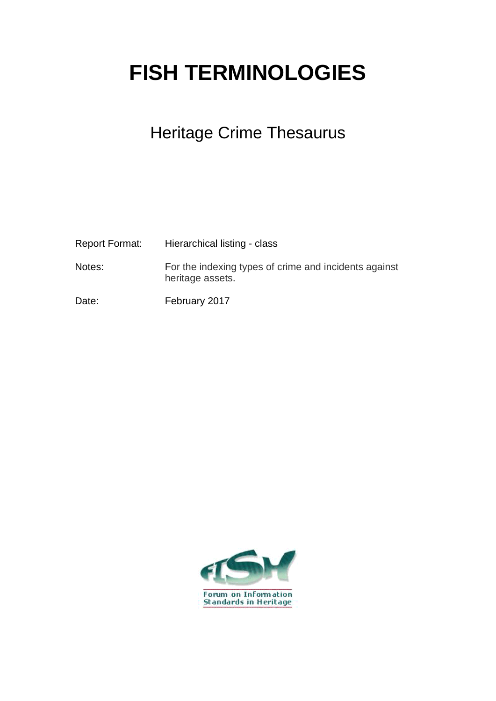## **FISH TERMINOLOGIES**

## Heritage Crime Thesaurus

| <b>Report Format:</b> | Hierarchical listing - class                                              |
|-----------------------|---------------------------------------------------------------------------|
| Notes:                | For the indexing types of crime and incidents against<br>heritage assets. |
| Date:                 | February 2017                                                             |

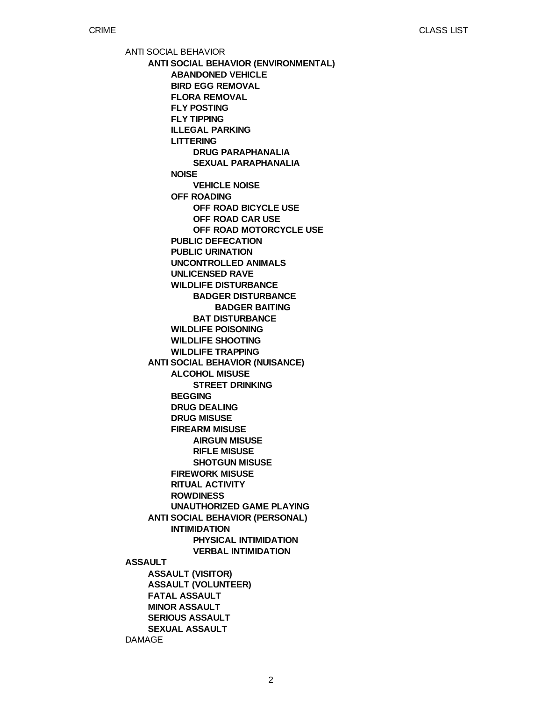ANTI SOCIAL BEHAVIOR **ASSAULT** DAMAGE **ANTI SOCIAL BEHAVIOR (ENVIRONMENTAL) ANTI SOCIAL BEHAVIOR (NUISANCE) ANTI SOCIAL BEHAVIOR (PERSONAL) ASSAULT (VISITOR) ASSAULT (VOLUNTEER) FATAL ASSAULT MINOR ASSAULT SERIOUS ASSAULT SEXUAL ASSAULT ABANDONED VEHICLE BIRD EGG REMOVAL FLORA REMOVAL FLY POSTING FLY TIPPING ILLEGAL PARKING LITTERING NOISE OFF ROADING PUBLIC DEFECATION PUBLIC URINATION UNCONTROLLED ANIMALS UNLICENSED RAVE WILDLIFE DISTURBANCE WILDLIFE POISONING WILDLIFE SHOOTING WILDLIFE TRAPPING ALCOHOL MISUSE BEGGING DRUG DEALING DRUG MISUSE FIREARM MISUSE FIREWORK MISUSE RITUAL ACTIVITY ROWDINESS UNAUTHORIZED GAME PLAYING INTIMIDATION DRUG PARAPHANALIA SEXUAL PARAPHANALIA VEHICLE NOISE OFF ROAD BICYCLE USE OFF ROAD CAR USE OFF ROAD MOTORCYCLE USE BADGER DISTURBANCE BAT DISTURBANCE STREET DRINKING AIRGUN MISUSE RIFLE MISUSE SHOTGUN MISUSE PHYSICAL INTIMIDATION VERBAL INTIMIDATION BADGER BAITING**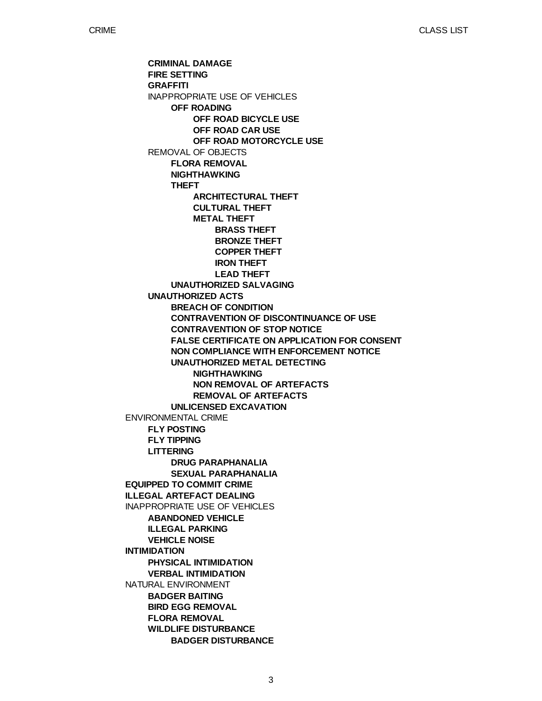ENVIRONMENTAL CRIME **EQUIPPED TO COMMIT CRIME ILLEGAL ARTEFACT DEALING** INAPPROPRIATE USE OF VEHICLES **INTIMIDATION** NATURAL ENVIRONMENT **CRIMINAL DAMAGE FIRE SETTING GRAFFITI** INAPPROPRIATE USE OF VEHICLES REMOVAL OF OBJECTS **UNAUTHORIZED ACTS FLY POSTING FLY TIPPING LITTERING ABANDONED VEHICLE ILLEGAL PARKING VEHICLE NOISE PHYSICAL INTIMIDATION VERBAL INTIMIDATION BADGER BAITING BIRD EGG REMOVAL FLORA REMOVAL WILDLIFE DISTURBANCE OFF ROADING FLORA REMOVAL NIGHTHAWKING THEFT UNAUTHORIZED SALVAGING BREACH OF CONDITION CONTRAVENTION OF DISCONTINUANCE OF USE CONTRAVENTION OF STOP NOTICE FALSE CERTIFICATE ON APPLICATION FOR CONSENT NON COMPLIANCE WITH ENFORCEMENT NOTICE UNAUTHORIZED METAL DETECTING UNLICENSED EXCAVATION DRUG PARAPHANALIA SEXUAL PARAPHANALIA BADGER DISTURBANCE OFF ROAD BICYCLE USE OFF ROAD CAR USE OFF ROAD MOTORCYCLE USE ARCHITECTURAL THEFT CULTURAL THEFT METAL THEFT NIGHTHAWKING NON REMOVAL OF ARTEFACTS REMOVAL OF ARTEFACTS BRASS THEFT BRONZE THEFT COPPER THEFT IRON THEFT LEAD THEFT**